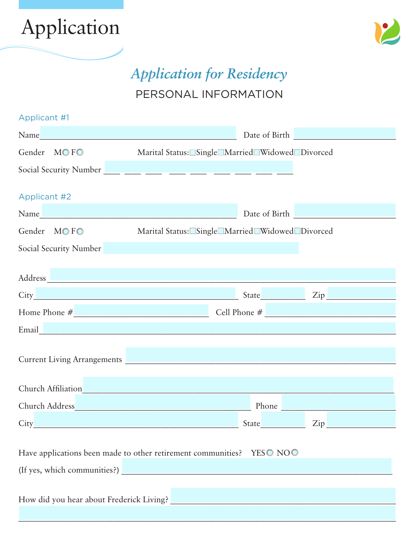



# *Application for Residency* PERSONAL INFORMATION

| Applicant #1                                                                                                                                                                                                                   |                                                 |
|--------------------------------------------------------------------------------------------------------------------------------------------------------------------------------------------------------------------------------|-------------------------------------------------|
| Name and the second contract of the second second contract of the second second second second second second second second second second second second second second second second second second second second second second se | Date of Birth <b>Exercise 2018</b>              |
| Gender MOFO                                                                                                                                                                                                                    | Marital Status: Single Married Widowed Divorced |
|                                                                                                                                                                                                                                |                                                 |
|                                                                                                                                                                                                                                |                                                 |
| <b>Applicant #2</b>                                                                                                                                                                                                            |                                                 |
| Name Name and the second contract of the second contract of the second contract of the second contract of the second contract of the second contract of the second contract of the second contract of the second contract of t | Date of Birth <b>Exercise 2018</b>              |
| Gender MOFO                                                                                                                                                                                                                    | Marital Status: Single Married Widowed Divorced |
| Social Security Number and Security Number                                                                                                                                                                                     |                                                 |
|                                                                                                                                                                                                                                |                                                 |
|                                                                                                                                                                                                                                |                                                 |
|                                                                                                                                                                                                                                |                                                 |
| Home Phone $\#$ Cell Phone $\#$                                                                                                                                                                                                |                                                 |
| Email_Management of the contract of the contract of the contract of the contract of the contract of the contract of                                                                                                            |                                                 |
|                                                                                                                                                                                                                                |                                                 |
| Current Living Arrangements                                                                                                                                                                                                    |                                                 |
|                                                                                                                                                                                                                                |                                                 |
| Church Affiliation Church Affiliation                                                                                                                                                                                          |                                                 |
|                                                                                                                                                                                                                                | Phone <b>Communication</b>                      |
| City                                                                                                                                                                                                                           |                                                 |
|                                                                                                                                                                                                                                |                                                 |
| Have applications been made to other retirement communities? YESO NOO                                                                                                                                                          |                                                 |
|                                                                                                                                                                                                                                |                                                 |
|                                                                                                                                                                                                                                |                                                 |
|                                                                                                                                                                                                                                |                                                 |
|                                                                                                                                                                                                                                |                                                 |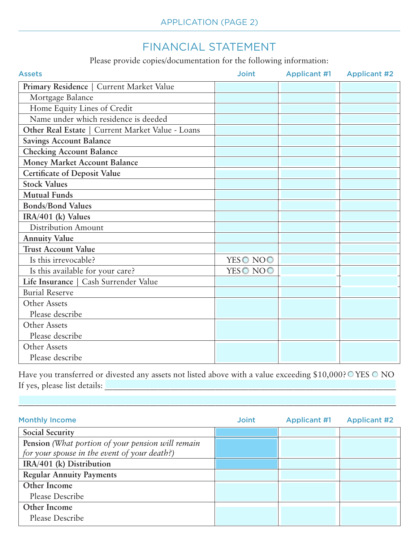# FINANCIAL STATEMENT

Please provide copies/documentation for the following information:

| <b>Assets</b>                                    | <b>Joint</b> | <b>Applicant #1</b> | <b>Applicant #2</b> |
|--------------------------------------------------|--------------|---------------------|---------------------|
| Primary Residence   Current Market Value         |              |                     |                     |
| Mortgage Balance                                 |              |                     |                     |
| Home Equity Lines of Credit                      |              |                     |                     |
| Name under which residence is deeded             |              |                     |                     |
| Other Real Estate   Current Market Value - Loans |              |                     |                     |
| <b>Savings Account Balance</b>                   |              |                     |                     |
| <b>Checking Account Balance</b>                  |              |                     |                     |
| Money Market Account Balance                     |              |                     |                     |
| <b>Certificate of Deposit Value</b>              |              |                     |                     |
| <b>Stock Values</b>                              |              |                     |                     |
| <b>Mutual Funds</b>                              |              |                     |                     |
| <b>Bonds/Bond Values</b>                         |              |                     |                     |
| IRA/401 (k) Values                               |              |                     |                     |
| Distribution Amount                              |              |                     |                     |
| <b>Annuity Value</b>                             |              |                     |                     |
| <b>Trust Account Value</b>                       |              |                     |                     |
| Is this irrevocable?                             | YESO NOO     |                     |                     |
| Is this available for your care?                 | YESO NOO     |                     |                     |
| Life Insurance   Cash Surrender Value            |              |                     |                     |
| <b>Burial Reserve</b>                            |              |                     |                     |
| Other Assets                                     |              |                     |                     |
| Please describe                                  |              |                     |                     |
| Other Assets                                     |              |                     |                     |
| Please describe                                  |              |                     |                     |
| Other Assets                                     |              |                     |                     |
| Please describe                                  |              |                     |                     |

Have you transferred or divested any assets not listed above with a value exceeding \$10,000? OYES O NO If yes, please list details: \_\_\_\_\_\_\_\_\_\_\_\_\_\_\_\_\_\_\_\_\_\_\_\_\_\_\_\_\_\_\_\_\_\_\_\_\_\_\_\_\_\_\_\_\_\_\_\_\_\_\_\_\_\_\_\_\_\_\_\_\_\_\_\_\_\_\_\_\_\_\_

 $\mathcal{L}_\mathcal{L} = \mathcal{L}_\mathcal{L} = \mathcal{L}_\mathcal{L} = \mathcal{L}_\mathcal{L} = \mathcal{L}_\mathcal{L} = \mathcal{L}_\mathcal{L} = \mathcal{L}_\mathcal{L} = \mathcal{L}_\mathcal{L} = \mathcal{L}_\mathcal{L} = \mathcal{L}_\mathcal{L} = \mathcal{L}_\mathcal{L} = \mathcal{L}_\mathcal{L} = \mathcal{L}_\mathcal{L} = \mathcal{L}_\mathcal{L} = \mathcal{L}_\mathcal{L} = \mathcal{L}_\mathcal{L} = \mathcal{L}_\mathcal{L}$ 

| <b>Monthly Income</b>                             | <b>Joint</b> | <b>Applicant #1</b> | <b>Applicant #2</b> |
|---------------------------------------------------|--------------|---------------------|---------------------|
| <b>Social Security</b>                            |              |                     |                     |
| Pension (What portion of your pension will remain |              |                     |                     |
| for your spouse in the event of your death?)      |              |                     |                     |
| IRA/401 (k) Distribution                          |              |                     |                     |
| <b>Regular Annuity Payments</b>                   |              |                     |                     |
| Other Income                                      |              |                     |                     |
| Please Describe                                   |              |                     |                     |
| Other Income                                      |              |                     |                     |
| Please Describe                                   |              |                     |                     |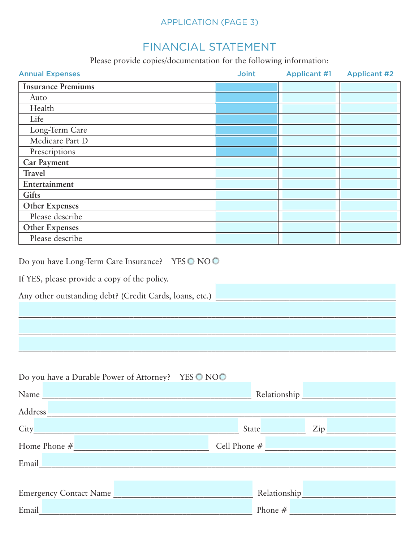# FINANCIAL STATEMENT

Please provide copies/documentation for the following information:

| <b>Annual Expenses</b>                                                                                                                                    | <b>Joint</b> | <b>Applicant #1</b> | <b>Applicant #2</b> |
|-----------------------------------------------------------------------------------------------------------------------------------------------------------|--------------|---------------------|---------------------|
| <b>Insurance Premiums</b>                                                                                                                                 |              |                     |                     |
| Auto                                                                                                                                                      |              |                     |                     |
| Health                                                                                                                                                    |              |                     |                     |
| Life                                                                                                                                                      |              |                     |                     |
| Long-Term Care                                                                                                                                            |              |                     |                     |
| Medicare Part D                                                                                                                                           |              |                     |                     |
| Prescriptions                                                                                                                                             |              |                     |                     |
| <b>Car Payment</b>                                                                                                                                        |              |                     |                     |
| <b>Travel</b>                                                                                                                                             |              |                     |                     |
| Entertainment                                                                                                                                             |              |                     |                     |
| <b>Gifts</b>                                                                                                                                              |              |                     |                     |
| <b>Other Expenses</b>                                                                                                                                     |              |                     |                     |
| Please describe                                                                                                                                           |              |                     |                     |
| <b>Other Expenses</b>                                                                                                                                     |              |                     |                     |
| Please describe                                                                                                                                           |              |                     |                     |
| Do you have Long-Term Care Insurance? YESO NOO<br>If YES, please provide a copy of the policy.<br>Any other outstanding debt? (Credit Cards, loans, etc.) |              |                     |                     |
|                                                                                                                                                           |              |                     |                     |

| Do you have a Durable Power of Attorney? YES O NOO                                                                                                                                                                             |                                                                                                                                                                                                                                |
|--------------------------------------------------------------------------------------------------------------------------------------------------------------------------------------------------------------------------------|--------------------------------------------------------------------------------------------------------------------------------------------------------------------------------------------------------------------------------|
| Name Name and the second contract of the second contract of the second contract of the second contract of the second contract of the second contract of the second contract of the second contract of the second contract of t | Relationship expansion of the set of the set of the set of the set of the set of the set of the set of the set of the set of the set of the set of the set of the set of the set of the set of the set of the set of the set o |
| Address Andreas Address Address Address Andreas Andreas Andres Andres Andres Andres Andres Andres A                                                                                                                            |                                                                                                                                                                                                                                |
|                                                                                                                                                                                                                                | State<br>Zip                                                                                                                                                                                                                   |
| Home Phone $#$                                                                                                                                                                                                                 | Cell Phone $#$                                                                                                                                                                                                                 |
| Email and the contract of the contract of the contract of the contract of the contract of the contract of the contract of the contract of the contract of the contract of the contract of the contract of the contract of the  |                                                                                                                                                                                                                                |
|                                                                                                                                                                                                                                |                                                                                                                                                                                                                                |
| <b>Emergency Contact Name</b>                                                                                                                                                                                                  | Relationship <b>Relationship</b>                                                                                                                                                                                               |
| Email<br><b>Contract Contract Contract</b>                                                                                                                                                                                     | Phone $#$                                                                                                                                                                                                                      |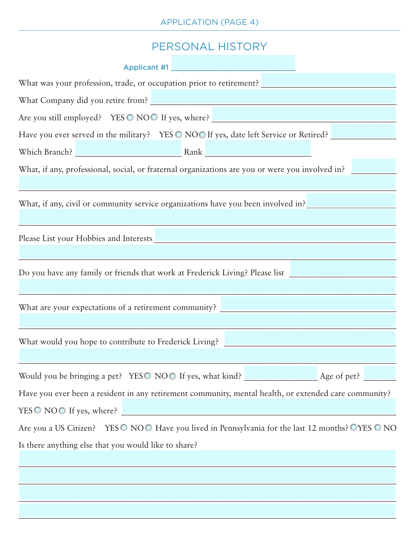### PERSONAL HISTORY

| Applicant #1 <b>Applicant #1 Applicant #1 Applicant</b> #1 <b>Applicant</b> #1 <b>Applicant</b> #1 <b>Applicant</b> #1 <b>Applicant</b> #1 <b>Applicant</b> #1 <b>Applicant</b> #1 <b>Applicant</b> #1 <b>Applicant</b> #1 <b>Applicant</b> #1 <b>Applicant</b> #1 <b>Applicant</b> #1 |
|----------------------------------------------------------------------------------------------------------------------------------------------------------------------------------------------------------------------------------------------------------------------------------------|
| What was your profession, trade, or occupation prior to retirement?                                                                                                                                                                                                                    |
| What Company did you retire from? Notice that the contract of the contract of the contract of the contract of the contract of the contract of the contract of the contract of the contract of the contract of the contract of                                                          |
| Are you still employed? YES O NOO If yes, where?                                                                                                                                                                                                                                       |
| Have you ever served in the military? YES O NOO If yes, date left Service or Retired?                                                                                                                                                                                                  |
|                                                                                                                                                                                                                                                                                        |
| What, if any, professional, social, or fraternal organizations are you or were you involved in?                                                                                                                                                                                        |
| What, if any, civil or community service organizations have you been involved in?                                                                                                                                                                                                      |
|                                                                                                                                                                                                                                                                                        |
| Do you have any family or friends that work at Frederick Living? Please list _______________________                                                                                                                                                                                   |
| What are your expectations of a retirement community?                                                                                                                                                                                                                                  |
| What would you hope to contribute to Frederick Living?                                                                                                                                                                                                                                 |
| Would you be bringing a pet? YESO NOO If yes, what kind? Age of pet?                                                                                                                                                                                                                   |
| Have you ever been a resident in any retirement community, mental health, or extended care community?                                                                                                                                                                                  |
| YESO NOO If yes, where?                                                                                                                                                                                                                                                                |
| Are you a US Citizen? YESO NOO Have you lived in Pennsylvania for the last 12 months? OYES O NO                                                                                                                                                                                        |
| Is there anything else that you would like to share?                                                                                                                                                                                                                                   |
|                                                                                                                                                                                                                                                                                        |
|                                                                                                                                                                                                                                                                                        |
|                                                                                                                                                                                                                                                                                        |
|                                                                                                                                                                                                                                                                                        |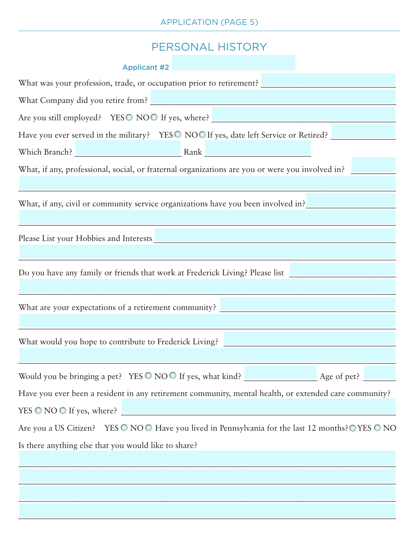# PERSONAL HISTORY

| Are you still employed? YESO NOO If yes, where?                                                       |
|-------------------------------------------------------------------------------------------------------|
| Have you ever served in the military? YESO NOO If yes, date left Service or Retired?                  |
|                                                                                                       |
| What, if any, professional, social, or fraternal organizations are you or were you involved in?       |
|                                                                                                       |
| What, if any, civil or community service organizations have you been involved in?                     |
|                                                                                                       |
|                                                                                                       |
|                                                                                                       |
| Do you have any family or friends that work at Frederick Living? Please list                          |
|                                                                                                       |
| What are your expectations of a retirement community?                                                 |
|                                                                                                       |
|                                                                                                       |
|                                                                                                       |
| Would you be bringing a pet? YES O NOO If yes, what kind? Age of pet?                                 |
| Have you ever been a resident in any retirement community, mental health, or extended care community? |
| YES O NO O If yes, where?                                                                             |
| Are you a US Citizen? YES O NOO Have you lived in Pennsylvania for the last 12 months? O YES O NO     |
| Is there anything else that you would like to share?                                                  |
|                                                                                                       |
|                                                                                                       |
|                                                                                                       |
|                                                                                                       |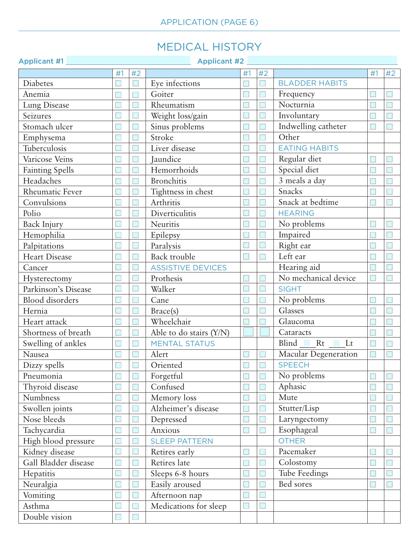# MEDICAL HISTORY

| <b>Applicant #1</b>    |    |                 | <b>Applicant #2</b>      |    |        |                             |    |    |
|------------------------|----|-----------------|--------------------------|----|--------|-----------------------------|----|----|
|                        | #1 | #2              |                          | #1 | #2     |                             | #1 | #2 |
| Diabetes               |    |                 | Eye infections           |    |        | <b>BLADDER HABITS</b>       |    |    |
| Anemia                 |    |                 | Goiter                   |    | Е      | Frequency                   |    |    |
| Lung Disease           |    |                 | Rheumatism               |    |        | Nocturnia                   |    |    |
| Seizures               |    |                 | Weight loss/gain         |    |        | Involuntary                 |    |    |
| Stomach ulcer          |    |                 | Sinus problems           |    | $\Box$ | Indwelling catheter         |    |    |
| Emphysema              |    |                 | Stroke                   |    |        | Other                       |    |    |
| Tuberculosis           |    |                 | Liver disease            |    |        | <b>EATING HABITS</b>        |    |    |
| Varicose Veins         |    |                 | Jaundice                 |    |        | Regular diet                |    |    |
| <b>Fainting Spells</b> |    |                 | Hemorrhoids              |    |        | Special diet                |    |    |
| Headaches              |    |                 | <b>Bronchitis</b>        |    |        | 3 meals a day               |    |    |
| Rheumatic Fever        |    |                 | Tightness in chest       |    |        | Snacks                      |    |    |
| Convulsions            |    |                 | Arthritis                |    |        | Snack at bedtime            |    |    |
| Polio                  |    |                 | Diverticulitis           |    |        | <b>HEARING</b>              |    |    |
| <b>Back Injury</b>     |    |                 | Neuritis                 |    |        | No problems                 |    |    |
| Hemophilia             |    |                 | Epilepsy                 |    |        | Impaired                    |    |    |
| Palpitations           |    |                 | Paralysis                |    |        | Right ear                   |    |    |
| <b>Heart Disease</b>   |    |                 | Back trouble             |    |        | Left ear                    |    |    |
| Cancer                 |    |                 | <b>ASSISTIVE DEVICES</b> |    |        | Hearing aid                 |    |    |
| Hysterectomy           |    |                 | Prothesis                |    |        | No mechanical device        |    |    |
| Parkinson's Disease    |    |                 | Walker                   |    |        | <b>SIGHT</b>                |    |    |
| <b>Blood</b> disorders |    |                 | Cane                     |    |        | No problems                 |    |    |
| Hernia                 |    |                 | Brace(s)                 |    |        | Glasses                     |    |    |
| Heart attack           |    |                 | Wheelchair               |    |        | Glaucoma                    |    |    |
| Shortness of breath    |    |                 | Able to do stairs (Y/N)  |    |        | Cataracts                   |    |    |
| Swelling of ankles     |    |                 | <b>MENTAL STATUS</b>     |    |        | Blind $\Box$ Rt $\Box$ Lt   |    |    |
| Nausea                 |    |                 | Alert                    |    |        | <b>Macular Degeneration</b> |    |    |
| Dizzy spells           |    | <b>Contract</b> | Oriented                 |    | $\Box$ | <b>SPEECH</b>               |    |    |
| Pneumonia              |    |                 | Forgetful                |    |        | No problems                 |    |    |
| Thyroid disease        |    |                 | Confused                 |    |        | Aphasic                     |    |    |
| Numbness               |    |                 | Memory loss              |    |        | Mute                        |    |    |
| Swollen joints         |    |                 | Alzheimer's disease      |    |        | Stutter/Lisp                |    |    |
| Nose bleeds            |    |                 | Depressed                |    |        | Laryngectomy                |    |    |
| Tachycardia            |    |                 | Anxious                  |    |        | Esophageal                  |    |    |
| High blood pressure    |    |                 | <b>SLEEP PATTERN</b>     |    |        | <b>OTHER</b>                |    |    |
| Kidney disease         |    |                 | Retires early            |    | L.     | Pacemaker                   | D  |    |
| Gall Bladder disease   |    |                 | Retires late             |    |        | Colostomy                   |    |    |
| Hepatitis              |    |                 | Sleeps 6-8 hours         |    |        | Tube Feedings               |    |    |
| Neuralgia              |    |                 | Easily aroused           |    | Е      | Bed sores                   |    |    |
| Vomiting               |    |                 | Afternoon nap            |    |        |                             |    |    |
| Asthma                 |    |                 | Medications for sleep    |    |        |                             |    |    |
| Double vision          |    |                 |                          |    |        |                             |    |    |
|                        |    |                 |                          |    |        |                             |    |    |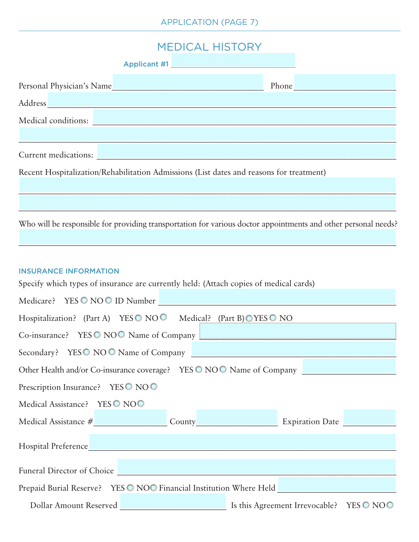## MEDICAL HISTORY

|                                                                                         | Applicant #1 |                            |
|-----------------------------------------------------------------------------------------|--------------|----------------------------|
| Personal Physician's Name                                                               |              | Phone <b>Communication</b> |
| Address                                                                                 |              |                            |
| Medical conditions:                                                                     |              |                            |
|                                                                                         |              |                            |
| Current medications:                                                                    |              |                            |
| Recent Hospitalization/Rehabilitation Admissions (List dates and reasons for treatment) |              |                            |
|                                                                                         |              |                            |

Who will be responsible for providing transportation for various doctor appointments and other personal needs?

 $\mathcal{L}_\mathcal{L} = \mathcal{L}_\mathcal{L} = \mathcal{L}_\mathcal{L} = \mathcal{L}_\mathcal{L} = \mathcal{L}_\mathcal{L} = \mathcal{L}_\mathcal{L} = \mathcal{L}_\mathcal{L} = \mathcal{L}_\mathcal{L} = \mathcal{L}_\mathcal{L} = \mathcal{L}_\mathcal{L} = \mathcal{L}_\mathcal{L} = \mathcal{L}_\mathcal{L} = \mathcal{L}_\mathcal{L} = \mathcal{L}_\mathcal{L} = \mathcal{L}_\mathcal{L} = \mathcal{L}_\mathcal{L} = \mathcal{L}_\mathcal{L}$ 

#### INSURANCE INFORMATION

Specify which types of insurance are currently held: (Attach copies of medical cards)

| Medicare? YES O NO O ID Number                                                  |
|---------------------------------------------------------------------------------|
| Hospitalization? (Part A) YESO NOO Medical? (Part B)OYESO NO                    |
| Co-insurance? YESO NOO Name of Company                                          |
| Secondary? YESO NOO Name of Company                                             |
| Other Health and/or Co-insurance coverage? YES O NOO Name of Company            |
| Prescription Insurance? YESO NOO                                                |
| Medical Assistance? YES ONOO                                                    |
| Medical Assistance # County County Expiration Date Expiration Date              |
|                                                                                 |
|                                                                                 |
| Funeral Director of Choice                                                      |
| Prepaid Burial Reserve? YES O NOO Financial Institution Where Held              |
| Is this Agreement Irrevocable? YES $\odot$ NO $\odot$<br>Dollar Amount Reserved |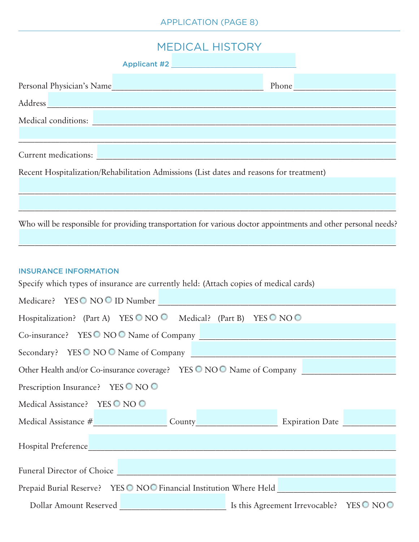## MEDICAL HISTORY

| Personal Physician's Name                                                                                       |  | Phone |
|-----------------------------------------------------------------------------------------------------------------|--|-------|
| Address and the contract of the contract of the contract of the contract of the contract of the contract of the |  |       |
| Medical conditions:                                                                                             |  |       |
|                                                                                                                 |  |       |
| Current medications:                                                                                            |  |       |
| Recent Hospitalization/Rehabilitation Admissions (List dates and reasons for treatment)                         |  |       |
|                                                                                                                 |  |       |

Who will be responsible for providing transportation for various doctor appointments and other personal needs?

 $\mathcal{L}_\mathcal{L} = \mathcal{L}_\mathcal{L} = \mathcal{L}_\mathcal{L} = \mathcal{L}_\mathcal{L} = \mathcal{L}_\mathcal{L} = \mathcal{L}_\mathcal{L} = \mathcal{L}_\mathcal{L} = \mathcal{L}_\mathcal{L} = \mathcal{L}_\mathcal{L} = \mathcal{L}_\mathcal{L} = \mathcal{L}_\mathcal{L} = \mathcal{L}_\mathcal{L} = \mathcal{L}_\mathcal{L} = \mathcal{L}_\mathcal{L} = \mathcal{L}_\mathcal{L} = \mathcal{L}_\mathcal{L} = \mathcal{L}_\mathcal{L}$ 

#### INSURANCE INFORMATION

Specify which types of insurance are currently held: (Attach copies of medical cards)

| Medicare? YESO NOO ID Number                                                                          |
|-------------------------------------------------------------------------------------------------------|
| Hospitalization? (Part A) YES $\bigcirc$ NO $\bigcirc$ Medical? (Part B) YES $\bigcirc$ NO $\bigcirc$ |
|                                                                                                       |
| Secondary? YESO NOO Name of Company                                                                   |
| Other Health and/or Co-insurance coverage? YES O NOO Name of Company                                  |
| Prescription Insurance? YES O NO O                                                                    |
| Medical Assistance? YES O NO O                                                                        |
| Medical Assistance # County County Expiration Date                                                    |
|                                                                                                       |
|                                                                                                       |
| Funeral Director of Choice Manual Account of Choice                                                   |
| Prepaid Burial Reserve? YESO NOO Financial Institution Where Held                                     |
|                                                                                                       |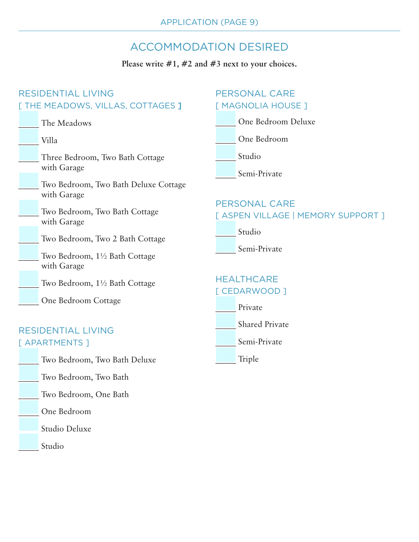# ACCOMMODATION DESIRED

#### **Please write #1, #2 and #3 next to your choices.**

| <b>RESIDENTIAL LIVING</b>                           | <b>PERSONAL CARE</b>                                       |  |
|-----------------------------------------------------|------------------------------------------------------------|--|
| [ THE MEADOWS, VILLAS, COTTAGES ]                   | [ MAGNOLIA HOUSE ]                                         |  |
| The Meadows                                         | One Bedroom Deluxe                                         |  |
| Villa                                               | One Bedroom                                                |  |
| Three Bedroom, Two Bath Cottage<br>with Garage      | Studio<br>Semi-Private                                     |  |
| Two Bedroom, Two Bath Deluxe Cottage<br>with Garage |                                                            |  |
| Two Bedroom, Two Bath Cottage<br>with Garage        | <b>PERSONAL CARE</b><br>[ ASPEN VILLAGE   MEMORY SUPPORT ] |  |
| Two Bedroom, Two 2 Bath Cottage                     | Studio                                                     |  |
| Two Bedroom, 1½ Bath Cottage<br>with Garage         | Semi-Private                                               |  |
| Two Bedroom, 1½ Bath Cottage                        | <b>HEALTHCARE</b><br>[ CEDARWOOD ]                         |  |
| One Bedroom Cottage                                 | Private                                                    |  |
| <b>RESIDENTIAL LIVING</b>                           | <b>Shared Private</b>                                      |  |
| [ APARTMENTS ]                                      | Semi-Private                                               |  |
| Two Bedroom, Two Bath Deluxe                        | Triple                                                     |  |
| Two Bedroom, Two Bath                               |                                                            |  |
| Two Bedroom, One Bath                               |                                                            |  |
| One Bedroom                                         |                                                            |  |

Studio Deluxe

Studio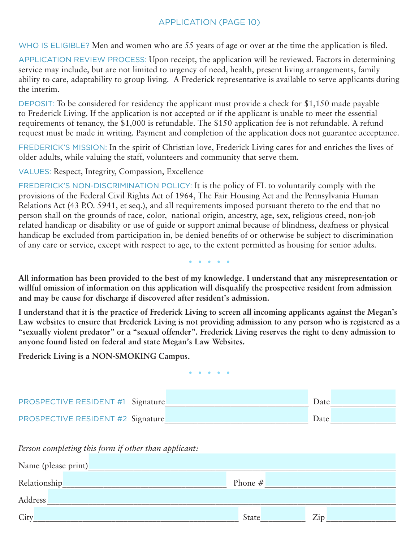WHO IS ELIGIBLE? Men and women who are 55 years of age or over at the time the application is filed.

APPLICATION REVIEW PROCESS: Upon receipt, the application will be reviewed. Factors in determining service may include, but are not limited to urgency of need, health, present living arrangements, family ability to care, adaptability to group living. A Frederick representative is available to serve applicants during the interim.

DEPOSIT: To be considered for residency the applicant must provide a check for \$1,150 made payable to Frederick Living. If the application is not accepted or if the applicant is unable to meet the essential requirements of tenancy, the \$1,000 is refundable. The \$150 application fee is not refundable. A refund request must be made in writing. Payment and completion of the application does not guarantee acceptance.

FREDERICK'S MISSION: In the spirit of Christian love, Frederick Living cares for and enriches the lives of older adults, while valuing the staff, volunteers and community that serve them.

VALUES: Respect, Integrity, Compassion, Excellence

FREDERICK'S NON-DISCRIMINATION POLICY: It is the policy of FL to voluntarily comply with the provisions of the Federal Civil Rights Act of 1964, The Fair Housing Act and the Pennsylvania Human Relations Act (43 P.O. 5941, et seq.), and all requirements imposed pursuant thereto to the end that no person shall on the grounds of race, color, national origin, ancestry, age, sex, religious creed, non-job related handicap or disability or use of guide or support animal because of blindness, deafness or physical handicap be excluded from participation in, be denied benefits of or otherwise be subject to discrimination of any care or service, except with respect to age, to the extent permitted as housing for senior adults.

 $\begin{array}{cccccccccc} \bullet & \bullet & \bullet & \bullet & \bullet & \bullet & \bullet \end{array}$ 

**All information has been provided to the best of my knowledge. I understand that any misrepresentation or willful omission of information on this application will disqualify the prospective resident from admission and may be cause for discharge if discovered after resident's admission.**

**I understand that it is the practice of Frederick Living to screen all incoming applicants against the Megan's Law websites to ensure that Frederick Living is not providing admission to any person who is registered as a "sexually violent predator" or a "sexual offender". Frederick Living reserves the right to deny admission to anyone found listed on federal and state Megan's Law Websites.**

**Frederick Living is a NON-SMOKING Campus.**

 $\begin{array}{ccccccccccccc} \bullet & \bullet & \bullet & \bullet & \bullet & \bullet & \bullet \end{array}$ 

| <b>PROSPECTIVE RESIDENT #1 Signature</b> |  | Date |  |
|------------------------------------------|--|------|--|
| PROSPECTIVE RESIDENT #2 Signature        |  | Date |  |

*Person completing this form if other than applicant:*

| Name (please print) |           |                |
|---------------------|-----------|----------------|
| Relationship        | Phone $#$ |                |
| Address             |           |                |
| City                | State     | 7 <sub>1</sub> |